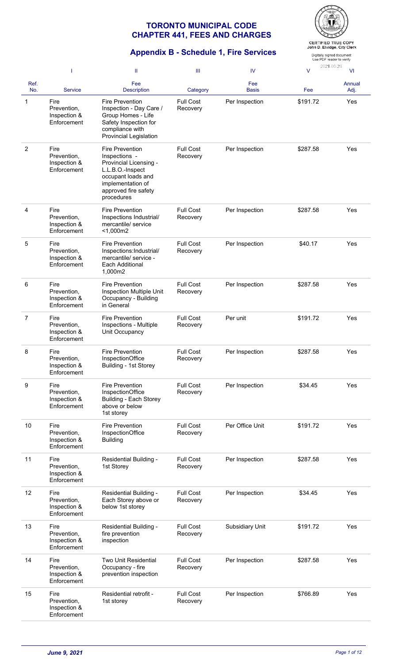

# **Appendix B - Schedule 1, Fire Services**

Digitally signed document<br>Use PDF reader to verify 2021-06-24

|                | -1                                                 | Ш                                                                                                                                                                      | Ш                            | IV                  | $\vee$   | <b>VI</b>      |
|----------------|----------------------------------------------------|------------------------------------------------------------------------------------------------------------------------------------------------------------------------|------------------------------|---------------------|----------|----------------|
| Ref.<br>No.    | <b>Service</b>                                     | Fee<br><b>Description</b>                                                                                                                                              | Category                     | Fee<br><b>Basis</b> | Fee      | Annual<br>Adj. |
| 1              | Fire<br>Prevention,<br>Inspection &<br>Enforcement | <b>Fire Prevention</b><br>Inspection - Day Care /<br>Group Homes - Life<br>Safety Inspection for<br>compliance with<br><b>Provincial Legislation</b>                   | <b>Full Cost</b><br>Recovery | Per Inspection      | \$191.72 | Yes            |
| $\overline{2}$ | Fire<br>Prevention,<br>Inspection &<br>Enforcement | <b>Fire Prevention</b><br>Inspections -<br>Provincial Licensing -<br>L.L.B.O.-Inspect<br>occupant loads and<br>implementation of<br>approved fire safety<br>procedures | <b>Full Cost</b><br>Recovery | Per Inspection      | \$287.58 | Yes            |
| 4              | Fire<br>Prevention,<br>Inspection &<br>Enforcement | <b>Fire Prevention</b><br>Inspections Industrial/<br>mercantile/ service<br>$<$ 1,000m2                                                                                | <b>Full Cost</b><br>Recovery | Per Inspection      | \$287.58 | Yes            |
| 5              | Fire<br>Prevention,<br>Inspection &<br>Enforcement | <b>Fire Prevention</b><br>Inspections: Industrial/<br>mercantile/ service -<br>Each Additional<br>1,000m2                                                              | <b>Full Cost</b><br>Recovery | Per Inspection      | \$40.17  | Yes            |
| 6              | Fire<br>Prevention,<br>Inspection &<br>Enforcement | Fire Prevention<br>Inspection Multiple Unit<br>Occupancy - Building<br>in General                                                                                      | <b>Full Cost</b><br>Recovery | Per Inspection      | \$287.58 | Yes            |
| 7              | Fire<br>Prevention,<br>Inspection &<br>Enforcement | Fire Prevention<br>Inspections - Multiple<br>Unit Occupancy                                                                                                            | <b>Full Cost</b><br>Recovery | Per unit            | \$191.72 | Yes            |
| 8              | Fire<br>Prevention,<br>Inspection &<br>Enforcement | Fire Prevention<br>InspectionOffice<br>Building - 1st Storey                                                                                                           | <b>Full Cost</b><br>Recovery | Per Inspection      | \$287.58 | Yes            |
| 9              | Fire<br>Prevention,<br>Inspection &<br>Enforcement | Fire Prevention<br>InspectionOffice<br><b>Building - Each Storey</b><br>above or below<br>1st storey                                                                   | <b>Full Cost</b><br>Recovery | Per Inspection      | \$34.45  | Yes            |
| 10             | Fire<br>Prevention,<br>Inspection &<br>Enforcement | <b>Fire Prevention</b><br>InspectionOffice<br><b>Building</b>                                                                                                          | <b>Full Cost</b><br>Recovery | Per Office Unit     | \$191.72 | Yes            |
| 11             | Fire<br>Prevention,<br>Inspection &<br>Enforcement | Residential Building -<br>1st Storey                                                                                                                                   | <b>Full Cost</b><br>Recovery | Per Inspection      | \$287.58 | Yes            |
| 12             | Fire<br>Prevention,<br>Inspection &<br>Enforcement | Residential Building -<br>Each Storey above or<br>below 1st storey                                                                                                     | <b>Full Cost</b><br>Recovery | Per Inspection      | \$34.45  | Yes            |
| 13             | Fire<br>Prevention,<br>Inspection &<br>Enforcement | Residential Building -<br>fire prevention<br>inspection                                                                                                                | <b>Full Cost</b><br>Recovery | Subsidiary Unit     | \$191.72 | Yes            |
| 14             | Fire<br>Prevention,<br>Inspection &<br>Enforcement | <b>Two Unit Residential</b><br>Occupancy - fire<br>prevention inspection                                                                                               | <b>Full Cost</b><br>Recovery | Per Inspection      | \$287.58 | Yes            |
| 15             | Fire<br>Prevention,<br>Inspection &<br>Enforcement | Residential retrofit -<br>1st storey                                                                                                                                   | <b>Full Cost</b><br>Recovery | Per Inspection      | \$766.89 | Yes            |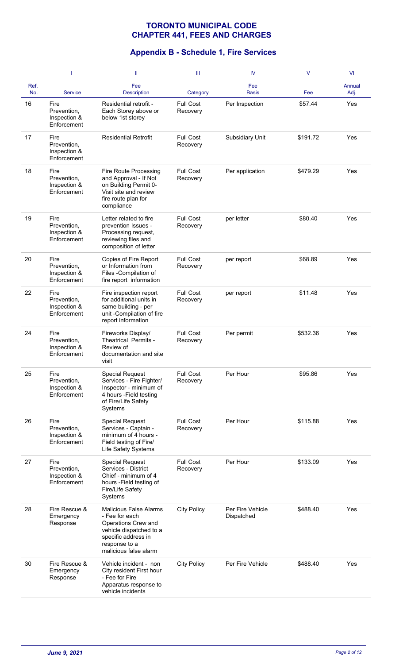|             | 1                                                  | Ш                                                                                                                                                                  | Ш                            | IV                             | $\vee$   | <b>VI</b>      |
|-------------|----------------------------------------------------|--------------------------------------------------------------------------------------------------------------------------------------------------------------------|------------------------------|--------------------------------|----------|----------------|
| Ref.<br>No. | <b>Service</b>                                     | Fee<br><b>Description</b>                                                                                                                                          | Category                     | Fee<br><b>Basis</b>            | Fee      | Annual<br>Adj. |
| 16          | Fire<br>Prevention,<br>Inspection &<br>Enforcement | Residential retrofit -<br>Each Storey above or<br>below 1st storey                                                                                                 | <b>Full Cost</b><br>Recovery | Per Inspection                 | \$57.44  | Yes            |
| 17          | Fire<br>Prevention,<br>Inspection &<br>Enforcement | <b>Residential Retrofit</b>                                                                                                                                        | <b>Full Cost</b><br>Recovery | Subsidiary Unit                | \$191.72 | Yes            |
| 18          | Fire<br>Prevention,<br>Inspection &<br>Enforcement | Fire Route Processing<br>and Approval - If Not<br>on Building Permit 0-<br>Visit site and review<br>fire route plan for<br>compliance                              | <b>Full Cost</b><br>Recovery | Per application                | \$479.29 | Yes            |
| 19          | Fire<br>Prevention,<br>Inspection &<br>Enforcement | Letter related to fire<br>prevention Issues -<br>Processing request,<br>reviewing files and<br>composition of letter                                               | <b>Full Cost</b><br>Recovery | per letter                     | \$80.40  | Yes            |
| 20          | Fire<br>Prevention,<br>Inspection &<br>Enforcement | Copies of Fire Report<br>or Information from<br>Files -Compilation of<br>fire report information                                                                   | <b>Full Cost</b><br>Recovery | per report                     | \$68.89  | Yes            |
| 22          | Fire<br>Prevention,<br>Inspection &<br>Enforcement | Fire inspection report<br>for additional units in<br>same building - per<br>unit -Compilation of fire<br>report information                                        | <b>Full Cost</b><br>Recovery | per report                     | \$11.48  | Yes            |
| 24          | Fire<br>Prevention,<br>Inspection &<br>Enforcement | Fireworks Display/<br>Theatrical Permits -<br>Review of<br>documentation and site<br>visit                                                                         | <b>Full Cost</b><br>Recovery | Per permit                     | \$532.36 | Yes            |
| 25          | Fire<br>Prevention,<br>Inspection &<br>Enforcement | <b>Special Request</b><br>Services - Fire Fighter/<br>Inspector - minimum of<br>4 hours - Field testing<br>of Fire/Life Safety<br>Systems                          | <b>Full Cost</b><br>Recovery | Per Hour                       | \$95.86  | Yes            |
| 26          | Fire<br>Prevention,<br>Inspection &<br>Enforcement | <b>Special Request</b><br>Services - Captain -<br>minimum of 4 hours -<br>Field testing of Fire/<br>Life Safety Systems                                            | <b>Full Cost</b><br>Recovery | Per Hour                       | \$115.88 | Yes            |
| 27          | Fire<br>Prevention,<br>Inspection &<br>Enforcement | <b>Special Request</b><br>Services - District<br>Chief - minimum of 4<br>hours -Field testing of<br>Fire/Life Safety<br>Systems                                    | <b>Full Cost</b><br>Recovery | Per Hour                       | \$133.09 | Yes            |
| 28          | Fire Rescue &<br>Emergency<br>Response             | <b>Malicious False Alarms</b><br>- Fee for each<br>Operations Crew and<br>vehicle dispatched to a<br>specific address in<br>response to a<br>malicious false alarm | <b>City Policy</b>           | Per Fire Vehicle<br>Dispatched | \$488.40 | Yes            |
| 30          | Fire Rescue &<br>Emergency<br>Response             | Vehicle incident - non<br>City resident First hour<br>- Fee for Fire<br>Apparatus response to<br>vehicle incidents                                                 | <b>City Policy</b>           | Per Fire Vehicle               | \$488.40 | Yes            |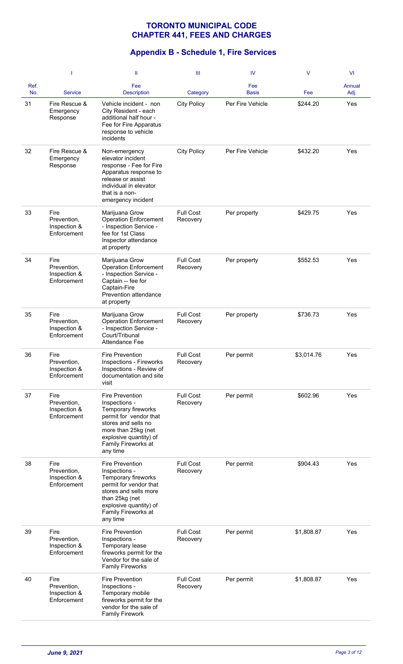|             | 1                                                  | Ш                                                                                                                                                                                                   | Ш                            | IV                  | $\vee$     | VI             |
|-------------|----------------------------------------------------|-----------------------------------------------------------------------------------------------------------------------------------------------------------------------------------------------------|------------------------------|---------------------|------------|----------------|
| Ref.<br>No. | <b>Service</b>                                     | Fee<br><b>Description</b>                                                                                                                                                                           | Category                     | Fee<br><b>Basis</b> | Fee        | Annual<br>Adj. |
| 31          | Fire Rescue &<br>Emergency<br>Response             | Vehicle incident - non<br>City Resident - each<br>additional half hour -<br>Fee for Fire Apparatus<br>response to vehicle<br>incidents                                                              | <b>City Policy</b>           | Per Fire Vehicle    | \$244.20   | Yes            |
| 32          | Fire Rescue &<br>Emergency<br>Response             | Non-emergency<br>elevator incident<br>response - Fee for Fire<br>Apparatus response to<br>release or assist<br>individual in elevator<br>that is a non-<br>emergency incident                       | <b>City Policy</b>           | Per Fire Vehicle    | \$432.20   | Yes            |
| 33          | Fire<br>Prevention,<br>Inspection &<br>Enforcement | Marijuana Grow<br><b>Operation Enforcement</b><br>- Inspection Service -<br>fee for 1st Class<br>Inspector attendance<br>at property                                                                | <b>Full Cost</b><br>Recovery | Per property        | \$429.75   | Yes            |
| 34          | Fire<br>Prevention,<br>Inspection &<br>Enforcement | Marijuana Grow<br><b>Operation Enforcement</b><br>- Inspection Service -<br>Captain -- fee for<br>Captain-Fire<br>Prevention attendance<br>at property                                              | <b>Full Cost</b><br>Recovery | Per property        | \$552.53   | Yes            |
| 35          | Fire<br>Prevention,<br>Inspection &<br>Enforcement | Marijuana Grow<br><b>Operation Enforcement</b><br>- Inspection Service -<br>Court/Tribunal<br>Attendance Fee                                                                                        | <b>Full Cost</b><br>Recovery | Per property        | \$736.73   | Yes            |
| 36          | Fire<br>Prevention,<br>Inspection &<br>Enforcement | <b>Fire Prevention</b><br>Inspections - Fireworks<br>Inspections - Review of<br>documentation and site<br>visit                                                                                     | <b>Full Cost</b><br>Recovery | Per permit          | \$3,014.76 | Yes            |
| 37          | Fire<br>Prevention,<br>Inspection &<br>Enforcement | <b>Fire Prevention</b><br>Inspections -<br>Temporary fireworks<br>permit for vendor that<br>stores and sells no<br>more than 25kg (net<br>explosive quantity) of<br>Family Fireworks at<br>any time | <b>Full Cost</b><br>Recovery | Per permit          | \$602.96   | Yes            |
| 38          | Fire<br>Prevention,<br>Inspection &<br>Enforcement | Fire Prevention<br>Inspections -<br>Temporary fireworks<br>permit for vendor that<br>stores and sells more<br>than 25kg (net<br>explosive quantity) of<br>Family Fireworks at<br>any time           | <b>Full Cost</b><br>Recovery | Per permit          | \$904.43   | Yes            |
| 39          | Fire<br>Prevention,<br>Inspection &<br>Enforcement | <b>Fire Prevention</b><br>Inspections -<br>Temporary lease<br>fireworks permit for the<br>Vendor for the sale of<br><b>Family Fireworks</b>                                                         | <b>Full Cost</b><br>Recovery | Per permit          | \$1,808.87 | Yes            |
| 40          | Fire<br>Prevention,<br>Inspection &<br>Enforcement | Fire Prevention<br>Inspections -<br>Temporary mobile<br>fireworks permit for the<br>vendor for the sale of<br><b>Family Firework</b>                                                                | <b>Full Cost</b><br>Recovery | Per permit          | \$1,808.87 | Yes            |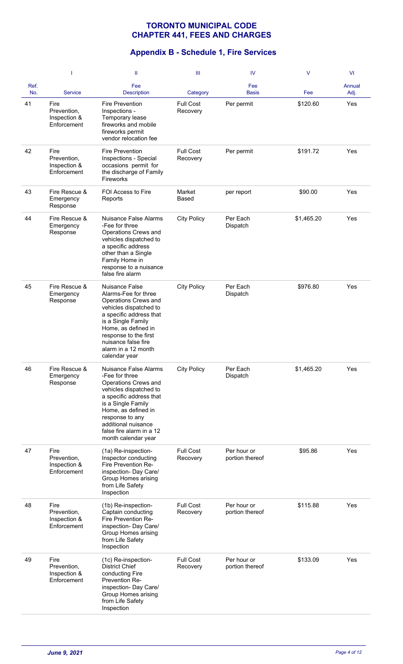|             | -1                                                 | Ш                                                                                                                                                                                                                                                                     | Ш                            | IV                             | $\vee$     | VI             |
|-------------|----------------------------------------------------|-----------------------------------------------------------------------------------------------------------------------------------------------------------------------------------------------------------------------------------------------------------------------|------------------------------|--------------------------------|------------|----------------|
| Ref.<br>No. | <b>Service</b>                                     | Fee<br><b>Description</b>                                                                                                                                                                                                                                             | Category                     | Fee<br><b>Basis</b>            | Fee        | Annual<br>Adj. |
| 41          | Fire<br>Prevention,<br>Inspection &<br>Enforcement | <b>Fire Prevention</b><br>Inspections -<br>Temporary lease<br>fireworks and mobile<br>fireworks permit<br>vendor relocation fee                                                                                                                                       | <b>Full Cost</b><br>Recovery | Per permit                     | \$120.60   | Yes            |
| 42          | Fire<br>Prevention,<br>Inspection &<br>Enforcement | Fire Prevention<br>Inspections - Special<br>occasions permit for<br>the discharge of Family<br>Fireworks                                                                                                                                                              | <b>Full Cost</b><br>Recovery | Per permit                     | \$191.72   | Yes            |
| 43          | Fire Rescue &<br>Emergency<br>Response             | <b>FOI Access to Fire</b><br>Reports                                                                                                                                                                                                                                  | Market<br>Based              | per report                     | \$90.00    | Yes            |
| 44          | Fire Rescue &<br>Emergency<br>Response             | Nuisance False Alarms<br>-Fee for three<br>Operations Crews and<br>vehicles dispatched to<br>a specific address<br>other than a Single<br>Family Home in<br>response to a nuisance<br>false fire alarm                                                                | <b>City Policy</b>           | Per Each<br>Dispatch           | \$1,465.20 | Yes            |
| 45          | Fire Rescue &<br>Emergency<br>Response             | Nuisance False<br>Alarms-Fee for three<br>Operations Crews and<br>vehicles dispatched to<br>a specific address that<br>is a Single Family<br>Home, as defined in<br>response to the first<br>nuisance false fire<br>alarm in a 12 month<br>calendar year              | <b>City Policy</b>           | Per Each<br>Dispatch           | \$976.80   | Yes            |
| 46          | Fire Rescue &<br>Emergency<br>Response             | <b>Nuisance False Alarms</b><br>-Fee for three<br>Operations Crews and<br>vehicles dispatched to<br>a specific address that<br>is a Single Family<br>Home, as defined in<br>response to any<br>additional nuisance<br>false fire alarm in a 12<br>month calendar year | <b>City Policy</b>           | Per Each<br>Dispatch           | \$1,465.20 | Yes            |
| 47          | Fire<br>Prevention,<br>Inspection &<br>Enforcement | (1a) Re-inspection-<br>Inspector conducting<br>Fire Prevention Re-<br>inspection- Day Care/<br>Group Homes arising<br>from Life Safety<br>Inspection                                                                                                                  | <b>Full Cost</b><br>Recovery | Per hour or<br>portion thereof | \$95.86    | Yes            |
| 48          | Fire<br>Prevention,<br>Inspection &<br>Enforcement | (1b) Re-inspection-<br>Captain conducting<br>Fire Prevention Re-<br>inspection- Day Care/<br>Group Homes arising<br>from Life Safety<br>Inspection                                                                                                                    | <b>Full Cost</b><br>Recovery | Per hour or<br>portion thereof | \$115.88   | Yes            |
| 49          | Fire<br>Prevention,<br>Inspection &<br>Enforcement | (1c) Re-inspection-<br><b>District Chief</b><br>conducting Fire<br>Prevention Re-<br>inspection- Day Care/<br>Group Homes arising<br>from Life Safety<br>Inspection                                                                                                   | <b>Full Cost</b><br>Recovery | Per hour or<br>portion thereof | \$133.09   | Yes            |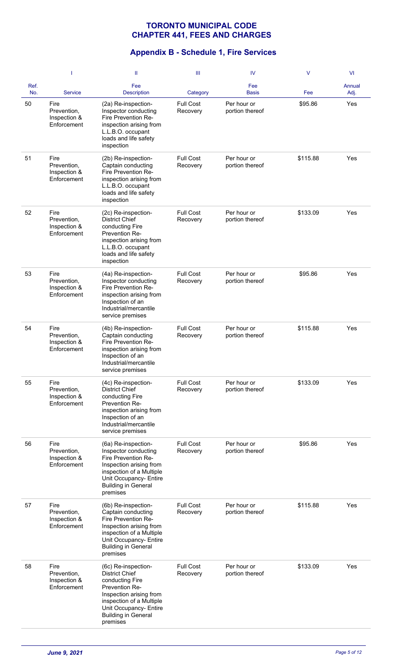|             | -1                                                 | Ш                                                                                                                                                                                                            | Ш                            | IV                             | $\vee$   | VI             |
|-------------|----------------------------------------------------|--------------------------------------------------------------------------------------------------------------------------------------------------------------------------------------------------------------|------------------------------|--------------------------------|----------|----------------|
| Ref.<br>No. | <b>Service</b>                                     | Fee<br><b>Description</b>                                                                                                                                                                                    | Category                     | Fee<br><b>Basis</b>            | Fee      | Annual<br>Adj. |
| 50          | Fire<br>Prevention,<br>Inspection &<br>Enforcement | (2a) Re-inspection-<br>Inspector conducting<br>Fire Prevention Re-<br>inspection arising from<br>L.L.B.O. occupant<br>loads and life safety<br>inspection                                                    | <b>Full Cost</b><br>Recovery | Per hour or<br>portion thereof | \$95.86  | Yes            |
| 51          | Fire<br>Prevention,<br>Inspection &<br>Enforcement | (2b) Re-inspection-<br>Captain conducting<br>Fire Prevention Re-<br>inspection arising from<br>L.L.B.O. occupant<br>loads and life safety<br>inspection                                                      | <b>Full Cost</b><br>Recovery | Per hour or<br>portion thereof | \$115.88 | Yes            |
| 52          | Fire<br>Prevention,<br>Inspection &<br>Enforcement | (2c) Re-inspection-<br><b>District Chief</b><br>conducting Fire<br>Prevention Re-<br>inspection arising from<br>L.L.B.O. occupant<br>loads and life safety<br>inspection                                     | <b>Full Cost</b><br>Recovery | Per hour or<br>portion thereof | \$133.09 | Yes            |
| 53          | Fire<br>Prevention,<br>Inspection &<br>Enforcement | (4a) Re-inspection-<br>Inspector conducting<br>Fire Prevention Re-<br>inspection arising from<br>Inspection of an<br>Industrial/mercantile<br>service premises                                               | <b>Full Cost</b><br>Recovery | Per hour or<br>portion thereof | \$95.86  | Yes            |
| 54          | Fire<br>Prevention,<br>Inspection &<br>Enforcement | (4b) Re-inspection-<br>Captain conducting<br>Fire Prevention Re-<br>inspection arising from<br>Inspection of an<br>Industrial/mercantile<br>service premises                                                 | <b>Full Cost</b><br>Recovery | Per hour or<br>portion thereof | \$115.88 | Yes            |
| 55          | Fire<br>Prevention,<br>Inspection &<br>Enforcement | (4c) Re-inspection-<br><b>District Chief</b><br>conducting Fire<br>Prevention Re-<br>inspection arising from<br>Inspection of an<br>Industrial/mercantile<br>service premises                                | <b>Full Cost</b><br>Recovery | Per hour or<br>portion thereof | \$133.09 | Yes            |
| 56          | Fire<br>Prevention,<br>Inspection &<br>Enforcement | (6a) Re-inspection-<br>Inspector conducting<br>Fire Prevention Re-<br>Inspection arising from<br>inspection of a Multiple<br>Unit Occupancy- Entire<br><b>Building in General</b><br>premises                | <b>Full Cost</b><br>Recovery | Per hour or<br>portion thereof | \$95.86  | Yes            |
| 57          | Fire<br>Prevention,<br>Inspection &<br>Enforcement | (6b) Re-inspection-<br>Captain conducting<br>Fire Prevention Re-<br>Inspection arising from<br>inspection of a Multiple<br>Unit Occupancy- Entire<br><b>Building in General</b><br>premises                  | <b>Full Cost</b><br>Recovery | Per hour or<br>portion thereof | \$115.88 | Yes            |
| 58          | Fire<br>Prevention,<br>Inspection &<br>Enforcement | (6c) Re-inspection-<br><b>District Chief</b><br>conducting Fire<br>Prevention Re-<br>Inspection arising from<br>inspection of a Multiple<br>Unit Occupancy- Entire<br><b>Building in General</b><br>premises | <b>Full Cost</b><br>Recovery | Per hour or<br>portion thereof | \$133.09 | Yes            |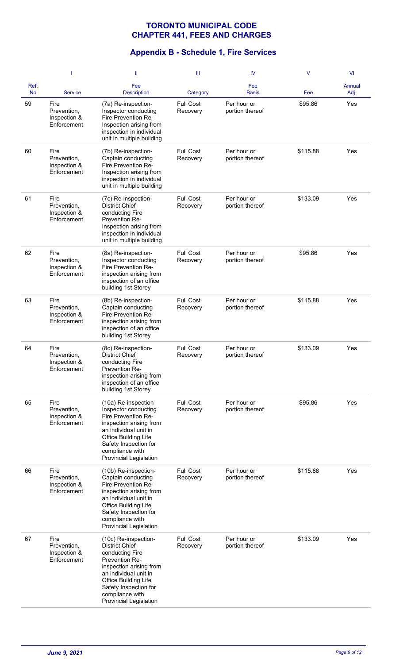|             |                                                    | Ш                                                                                                                                                                                                                                           | Ш                            | IV                             | V        | <b>VI</b>      |
|-------------|----------------------------------------------------|---------------------------------------------------------------------------------------------------------------------------------------------------------------------------------------------------------------------------------------------|------------------------------|--------------------------------|----------|----------------|
| Ref.<br>No. | <b>Service</b>                                     | Fee<br><b>Description</b>                                                                                                                                                                                                                   | Category                     | Fee<br><b>Basis</b>            | Fee      | Annual<br>Adj. |
| 59          | Fire<br>Prevention,<br>Inspection &<br>Enforcement | (7a) Re-inspection-<br>Inspector conducting<br>Fire Prevention Re-<br>Inspection arising from<br>inspection in individual<br>unit in multiple building                                                                                      | <b>Full Cost</b><br>Recovery | Per hour or<br>portion thereof | \$95.86  | Yes            |
| 60          | Fire<br>Prevention,<br>Inspection &<br>Enforcement | (7b) Re-inspection-<br>Captain conducting<br>Fire Prevention Re-<br>Inspection arising from<br>inspection in individual<br>unit in multiple building                                                                                        | <b>Full Cost</b><br>Recovery | Per hour or<br>portion thereof | \$115.88 | Yes            |
| 61          | Fire<br>Prevention,<br>Inspection &<br>Enforcement | (7c) Re-inspection-<br><b>District Chief</b><br>conducting Fire<br>Prevention Re-<br>Inspection arising from<br>inspection in individual<br>unit in multiple building                                                                       | <b>Full Cost</b><br>Recovery | Per hour or<br>portion thereof | \$133.09 | Yes            |
| 62          | Fire<br>Prevention,<br>Inspection &<br>Enforcement | (8a) Re-inspection-<br>Inspector conducting<br>Fire Prevention Re-<br>inspection arising from<br>inspection of an office<br>building 1st Storey                                                                                             | <b>Full Cost</b><br>Recovery | Per hour or<br>portion thereof | \$95.86  | Yes            |
| 63          | Fire<br>Prevention,<br>Inspection &<br>Enforcement | (8b) Re-inspection-<br>Captain conducting<br>Fire Prevention Re-<br>inspection arising from<br>inspection of an office<br>building 1st Storey                                                                                               | <b>Full Cost</b><br>Recovery | Per hour or<br>portion thereof | \$115.88 | Yes            |
| 64          | Fire<br>Prevention,<br>Inspection &<br>Enforcement | (8c) Re-inspection-<br><b>District Chief</b><br>conducting Fire<br>Prevention Re-<br>inspection arising from<br>inspection of an office<br>building 1st Storey                                                                              | <b>Full Cost</b><br>Recovery | Per hour or<br>portion thereof | \$133.09 | Yes            |
| 65          | Fire<br>Prevention,<br>Inspection &<br>Enforcement | (10a) Re-inspection-<br>Inspector conducting<br>Fire Prevention Re-<br>inspection arising from<br>an individual unit in<br>Office Building Life<br>Safety Inspection for<br>compliance with<br>Provincial Legislation                       | <b>Full Cost</b><br>Recovery | Per hour or<br>portion thereof | \$95.86  | Yes            |
| 66          | Fire<br>Prevention,<br>Inspection &<br>Enforcement | (10b) Re-inspection-<br>Captain conducting<br>Fire Prevention Re-<br>inspection arising from<br>an individual unit in<br>Office Building Life<br>Safety Inspection for<br>compliance with<br>Provincial Legislation                         | <b>Full Cost</b><br>Recovery | Per hour or<br>portion thereof | \$115.88 | Yes            |
| 67          | Fire<br>Prevention,<br>Inspection &<br>Enforcement | (10c) Re-inspection-<br><b>District Chief</b><br>conducting Fire<br>Prevention Re-<br>inspection arising from<br>an individual unit in<br>Office Building Life<br>Safety Inspection for<br>compliance with<br><b>Provincial Legislation</b> | <b>Full Cost</b><br>Recovery | Per hour or<br>portion thereof | \$133.09 | Yes            |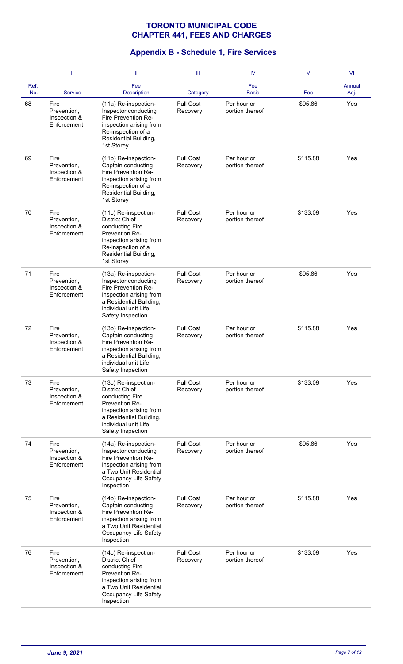|             | -1                                                 | Ш                                                                                                                                                                                     | Ш                            | IV                             | $\vee$   | VI             |
|-------------|----------------------------------------------------|---------------------------------------------------------------------------------------------------------------------------------------------------------------------------------------|------------------------------|--------------------------------|----------|----------------|
| Ref.<br>No. | <b>Service</b>                                     | Fee<br><b>Description</b>                                                                                                                                                             | Category                     | Fee<br><b>Basis</b>            | Fee      | Annual<br>Adj. |
| 68          | Fire<br>Prevention,<br>Inspection &<br>Enforcement | (11a) Re-inspection-<br>Inspector conducting<br>Fire Prevention Re-<br>inspection arising from<br>Re-inspection of a<br>Residential Building,<br>1st Storey                           | <b>Full Cost</b><br>Recovery | Per hour or<br>portion thereof | \$95.86  | Yes            |
| 69          | Fire<br>Prevention,<br>Inspection &<br>Enforcement | (11b) Re-inspection-<br>Captain conducting<br>Fire Prevention Re-<br>inspection arising from<br>Re-inspection of a<br>Residential Building,<br>1st Storey                             | <b>Full Cost</b><br>Recovery | Per hour or<br>portion thereof | \$115.88 | Yes            |
| 70          | Fire<br>Prevention,<br>Inspection &<br>Enforcement | (11c) Re-inspection-<br><b>District Chief</b><br>conducting Fire<br>Prevention Re-<br>inspection arising from<br>Re-inspection of a<br>Residential Building,<br>1st Storey            | <b>Full Cost</b><br>Recovery | Per hour or<br>portion thereof | \$133.09 | Yes            |
| 71          | Fire<br>Prevention,<br>Inspection &<br>Enforcement | (13a) Re-inspection-<br>Inspector conducting<br>Fire Prevention Re-<br>inspection arising from<br>a Residential Building,<br>individual unit Life<br>Safety Inspection                | <b>Full Cost</b><br>Recovery | Per hour or<br>portion thereof | \$95.86  | Yes            |
| 72          | Fire<br>Prevention,<br>Inspection &<br>Enforcement | (13b) Re-inspection-<br>Captain conducting<br>Fire Prevention Re-<br>inspection arising from<br>a Residential Building,<br>individual unit Life<br>Safety Inspection                  | <b>Full Cost</b><br>Recovery | Per hour or<br>portion thereof | \$115.88 | Yes            |
| 73          | Fire<br>Prevention,<br>Inspection &<br>Enforcement | (13c) Re-inspection-<br><b>District Chief</b><br>conducting Fire<br>Prevention Re-<br>inspection arising from<br>a Residential Building,<br>individual unit Life<br>Safety Inspection | <b>Full Cost</b><br>Recovery | Per hour or<br>portion thereof | \$133.09 | Yes            |
| 74          | Fire<br>Prevention,<br>Inspection &<br>Enforcement | (14a) Re-inspection-<br>Inspector conducting<br>Fire Prevention Re-<br>inspection arising from<br>a Two Unit Residential<br>Occupancy Life Safety<br>Inspection                       | <b>Full Cost</b><br>Recovery | Per hour or<br>portion thereof | \$95.86  | Yes            |
| 75          | Fire<br>Prevention,<br>Inspection &<br>Enforcement | (14b) Re-inspection-<br>Captain conducting<br>Fire Prevention Re-<br>inspection arising from<br>a Two Unit Residential<br>Occupancy Life Safety<br>Inspection                         | <b>Full Cost</b><br>Recovery | Per hour or<br>portion thereof | \$115.88 | Yes            |
| 76          | Fire<br>Prevention,<br>Inspection &<br>Enforcement | (14c) Re-inspection-<br><b>District Chief</b><br>conducting Fire<br>Prevention Re-<br>inspection arising from<br>a Two Unit Residential<br>Occupancy Life Safety<br>Inspection        | <b>Full Cost</b><br>Recovery | Per hour or<br>portion thereof | \$133.09 | Yes            |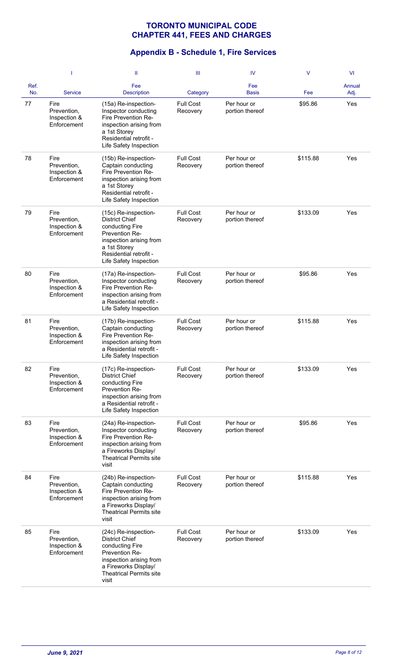|             | -1                                                 | Ш                                                                                                                                                                                 | Ш                            | IV                             | $\vee$   | VI             |
|-------------|----------------------------------------------------|-----------------------------------------------------------------------------------------------------------------------------------------------------------------------------------|------------------------------|--------------------------------|----------|----------------|
| Ref.<br>No. | <b>Service</b>                                     | Fee<br><b>Description</b>                                                                                                                                                         | Category                     | Fee<br><b>Basis</b>            | Fee      | Annual<br>Adj. |
| 77          | Fire<br>Prevention,<br>Inspection &<br>Enforcement | (15a) Re-inspection-<br>Inspector conducting<br>Fire Prevention Re-<br>inspection arising from<br>a 1st Storey<br>Residential retrofit -<br>Life Safety Inspection                | <b>Full Cost</b><br>Recovery | Per hour or<br>portion thereof | \$95.86  | Yes            |
| 78          | Fire<br>Prevention,<br>Inspection &<br>Enforcement | (15b) Re-inspection-<br>Captain conducting<br>Fire Prevention Re-<br>inspection arising from<br>a 1st Storey<br>Residential retrofit -<br>Life Safety Inspection                  | <b>Full Cost</b><br>Recovery | Per hour or<br>portion thereof | \$115.88 | Yes            |
| 79          | Fire<br>Prevention,<br>Inspection &<br>Enforcement | (15c) Re-inspection-<br><b>District Chief</b><br>conducting Fire<br>Prevention Re-<br>inspection arising from<br>a 1st Storey<br>Residential retrofit -<br>Life Safety Inspection | <b>Full Cost</b><br>Recovery | Per hour or<br>portion thereof | \$133.09 | Yes            |
| 80          | Fire<br>Prevention,<br>Inspection &<br>Enforcement | (17a) Re-inspection-<br>Inspector conducting<br>Fire Prevention Re-<br>inspection arising from<br>a Residential retrofit -<br>Life Safety Inspection                              | <b>Full Cost</b><br>Recovery | Per hour or<br>portion thereof | \$95.86  | Yes            |
| 81          | Fire<br>Prevention,<br>Inspection &<br>Enforcement | (17b) Re-inspection-<br>Captain conducting<br>Fire Prevention Re-<br>inspection arising from<br>a Residential retrofit -<br>Life Safety Inspection                                | <b>Full Cost</b><br>Recovery | Per hour or<br>portion thereof | \$115.88 | Yes            |
| 82          | Fire<br>Prevention,<br>Inspection &<br>Enforcement | (17c) Re-inspection-<br><b>District Chief</b><br>conducting Fire<br>Prevention Re-<br>inspection arising from<br>a Residential retrofit -<br>Life Safety Inspection               | <b>Full Cost</b><br>Recovery | Per hour or<br>portion thereof | \$133.09 | Yes            |
| 83          | Fire<br>Prevention,<br>Inspection &<br>Enforcement | (24a) Re-inspection-<br>Inspector conducting<br>Fire Prevention Re-<br>inspection arising from<br>a Fireworks Display/<br><b>Theatrical Permits site</b><br>visit                 | <b>Full Cost</b><br>Recovery | Per hour or<br>portion thereof | \$95.86  | Yes            |
| 84          | Fire<br>Prevention,<br>Inspection &<br>Enforcement | (24b) Re-inspection-<br>Captain conducting<br>Fire Prevention Re-<br>inspection arising from<br>a Fireworks Display/<br><b>Theatrical Permits site</b><br>visit                   | <b>Full Cost</b><br>Recovery | Per hour or<br>portion thereof | \$115.88 | Yes            |
| 85          | Fire<br>Prevention,<br>Inspection &<br>Enforcement | (24c) Re-inspection-<br><b>District Chief</b><br>conducting Fire<br>Prevention Re-<br>inspection arising from<br>a Fireworks Display/<br><b>Theatrical Permits site</b><br>visit  | <b>Full Cost</b><br>Recovery | Per hour or<br>portion thereof | \$133.09 | Yes            |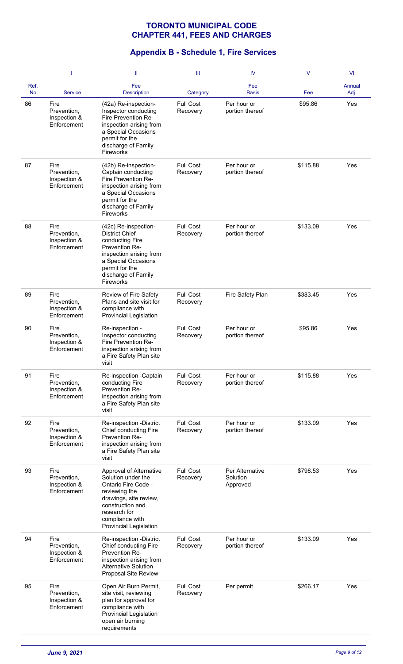|             | -1                                                 | Ш                                                                                                                                                                                                       | Ш                            | IV                                      | $\vee$   | <b>VI</b>      |
|-------------|----------------------------------------------------|---------------------------------------------------------------------------------------------------------------------------------------------------------------------------------------------------------|------------------------------|-----------------------------------------|----------|----------------|
| Ref.<br>No. | <b>Service</b>                                     | Fee<br><b>Description</b>                                                                                                                                                                               | Category                     | Fee<br><b>Basis</b>                     | Fee      | Annual<br>Adj. |
| 86          | Fire<br>Prevention,<br>Inspection &<br>Enforcement | (42a) Re-inspection-<br>Inspector conducting<br>Fire Prevention Re-<br>inspection arising from<br>a Special Occasions<br>permit for the<br>discharge of Family<br><b>Fireworks</b>                      | <b>Full Cost</b><br>Recovery | Per hour or<br>portion thereof          | \$95.86  | Yes            |
| 87          | Fire<br>Prevention,<br>Inspection &<br>Enforcement | (42b) Re-inspection-<br>Captain conducting<br>Fire Prevention Re-<br>inspection arising from<br>a Special Occasions<br>permit for the<br>discharge of Family<br><b>Fireworks</b>                        | <b>Full Cost</b><br>Recovery | Per hour or<br>portion thereof          | \$115.88 | Yes            |
| 88          | Fire<br>Prevention,<br>Inspection &<br>Enforcement | (42c) Re-inspection-<br><b>District Chief</b><br>conducting Fire<br>Prevention Re-<br>inspection arising from<br>a Special Occasions<br>permit for the<br>discharge of Family<br>Fireworks              | <b>Full Cost</b><br>Recovery | Per hour or<br>portion thereof          | \$133.09 | Yes            |
| 89          | Fire<br>Prevention,<br>Inspection &<br>Enforcement | Review of Fire Safety<br>Plans and site visit for<br>compliance with<br>Provincial Legislation                                                                                                          | <b>Full Cost</b><br>Recovery | Fire Safety Plan                        | \$383.45 | Yes            |
| 90          | Fire<br>Prevention,<br>Inspection &<br>Enforcement | Re-inspection -<br>Inspector conducting<br>Fire Prevention Re-<br>inspection arising from<br>a Fire Safety Plan site<br>visit                                                                           | <b>Full Cost</b><br>Recovery | Per hour or<br>portion thereof          | \$95.86  | Yes            |
| 91          | Fire<br>Prevention,<br>Inspection &<br>Enforcement | Re-inspection -Captain<br>conducting Fire<br>Prevention Re-<br>inspection arising from<br>a Fire Safety Plan site<br>visit                                                                              | <b>Full Cost</b><br>Recovery | Per hour or<br>portion thereof          | \$115.88 | Yes            |
| 92          | Fire<br>Prevention,<br>Inspection &<br>Enforcement | Re-inspection -District<br>Chief conducting Fire<br>Prevention Re-<br>inspection arising from<br>a Fire Safety Plan site<br>visit                                                                       | <b>Full Cost</b><br>Recovery | Per hour or<br>portion thereof          | \$133.09 | Yes            |
| 93          | Fire<br>Prevention,<br>Inspection &<br>Enforcement | Approval of Alternative<br>Solution under the<br>Ontario Fire Code -<br>reviewing the<br>drawings, site review,<br>construction and<br>research for<br>compliance with<br><b>Provincial Legislation</b> | <b>Full Cost</b><br>Recovery | Per Alternative<br>Solution<br>Approved | \$798.53 | Yes            |
| 94          | Fire<br>Prevention,<br>Inspection &<br>Enforcement | Re-inspection -District<br>Chief conducting Fire<br>Prevention Re-<br>inspection arising from<br>Alternative Solution<br>Proposal Site Review                                                           | <b>Full Cost</b><br>Recovery | Per hour or<br>portion thereof          | \$133.09 | Yes            |
| 95          | Fire<br>Prevention,<br>Inspection &<br>Enforcement | Open Air Burn Permit,<br>site visit, reviewing<br>plan for approval for<br>compliance with<br>Provincial Legislation<br>open air burning<br>requirements                                                | <b>Full Cost</b><br>Recovery | Per permit                              | \$266.17 | Yes            |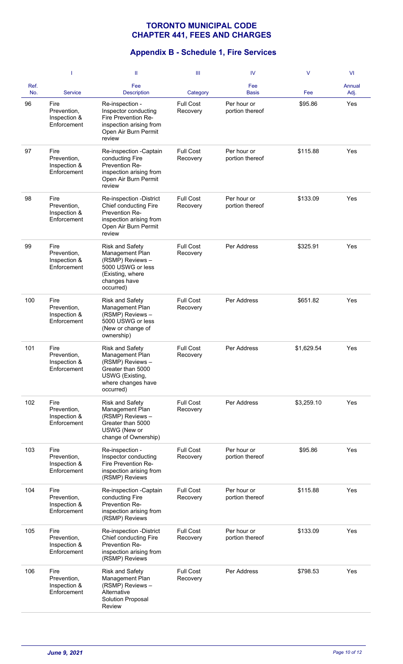|             | -1                                                 | Ш                                                                                                                                       | Ш                            | IV                             | $\vee$     | <b>VI</b>      |
|-------------|----------------------------------------------------|-----------------------------------------------------------------------------------------------------------------------------------------|------------------------------|--------------------------------|------------|----------------|
| Ref.<br>No. | <b>Service</b>                                     | Fee<br><b>Description</b>                                                                                                               | Category                     | Fee<br><b>Basis</b>            | Fee        | Annual<br>Adj. |
| 96          | Fire<br>Prevention,<br>Inspection &<br>Enforcement | Re-inspection -<br>Inspector conducting<br>Fire Prevention Re-<br>inspection arising from<br>Open Air Burn Permit<br>review             | <b>Full Cost</b><br>Recovery | Per hour or<br>portion thereof | \$95.86    | Yes            |
| 97          | Fire<br>Prevention,<br>Inspection &<br>Enforcement | Re-inspection -Captain<br>conducting Fire<br>Prevention Re-<br>inspection arising from<br>Open Air Burn Permit<br>review                | <b>Full Cost</b><br>Recovery | Per hour or<br>portion thereof | \$115.88   | Yes            |
| 98          | Fire<br>Prevention,<br>Inspection &<br>Enforcement | Re-inspection -District<br>Chief conducting Fire<br>Prevention Re-<br>inspection arising from<br>Open Air Burn Permit<br>review         | <b>Full Cost</b><br>Recovery | Per hour or<br>portion thereof | \$133.09   | Yes            |
| 99          | Fire<br>Prevention,<br>Inspection &<br>Enforcement | <b>Risk and Safety</b><br>Management Plan<br>(RSMP) Reviews -<br>5000 USWG or less<br>(Existing, where<br>changes have<br>occurred)     | <b>Full Cost</b><br>Recovery | Per Address                    | \$325.91   | Yes            |
| 100         | Fire<br>Prevention,<br>Inspection &<br>Enforcement | <b>Risk and Safety</b><br>Management Plan<br>(RSMP) Reviews -<br>5000 USWG or less<br>(New or change of<br>ownership)                   | <b>Full Cost</b><br>Recovery | Per Address                    | \$651.82   | Yes            |
| 101         | Fire<br>Prevention,<br>Inspection &<br>Enforcement | <b>Risk and Safety</b><br>Management Plan<br>(RSMP) Reviews-<br>Greater than 5000<br>USWG (Existing,<br>where changes have<br>occurred) | <b>Full Cost</b><br>Recovery | Per Address                    | \$1,629.54 | Yes            |
| 102         | Fire<br>Prevention,<br>Inspection &<br>Enforcement | <b>Risk and Safety</b><br>Management Plan<br>(RSMP) Reviews-<br>Greater than 5000<br>USWG (New or<br>change of Ownership)               | <b>Full Cost</b><br>Recovery | Per Address                    | \$3,259.10 | Yes            |
| 103         | Fire<br>Prevention,<br>Inspection &<br>Enforcement | Re-inspection -<br>Inspector conducting<br>Fire Prevention Re-<br>inspection arising from<br>(RSMP) Reviews                             | <b>Full Cost</b><br>Recovery | Per hour or<br>portion thereof | \$95.86    | Yes            |
| 104         | Fire<br>Prevention,<br>Inspection &<br>Enforcement | Re-inspection -Captain<br>conducting Fire<br>Prevention Re-<br>inspection arising from<br>(RSMP) Reviews                                | <b>Full Cost</b><br>Recovery | Per hour or<br>portion thereof | \$115.88   | Yes            |
| 105         | Fire<br>Prevention,<br>Inspection &<br>Enforcement | Re-inspection -District<br>Chief conducting Fire<br>Prevention Re-<br>inspection arising from<br>(RSMP) Reviews                         | <b>Full Cost</b><br>Recovery | Per hour or<br>portion thereof | \$133.09   | Yes            |
| 106         | Fire<br>Prevention,<br>Inspection &<br>Enforcement | <b>Risk and Safety</b><br>Management Plan<br>(RSMP) Reviews -<br>Alternative<br>Solution Proposal<br>Review                             | <b>Full Cost</b><br>Recovery | Per Address                    | \$798.53   | Yes            |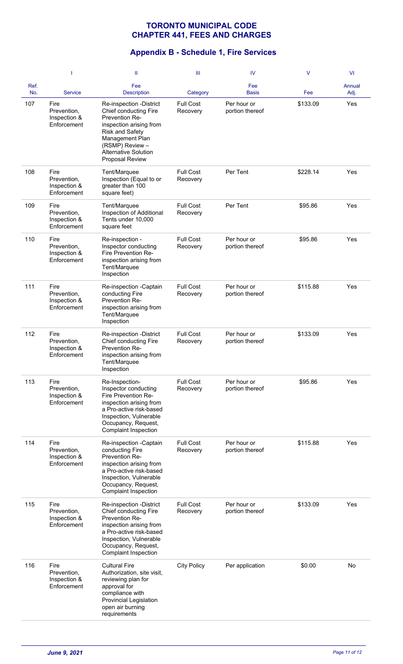|             | 1                                                  | Ш                                                                                                                                                                                                               | Ш                            | IV                             | $\vee$   | <b>VI</b>      |
|-------------|----------------------------------------------------|-----------------------------------------------------------------------------------------------------------------------------------------------------------------------------------------------------------------|------------------------------|--------------------------------|----------|----------------|
| Ref.<br>No. | Service                                            | Fee<br><b>Description</b>                                                                                                                                                                                       | Category                     | Fee<br><b>Basis</b>            | Fee      | Annual<br>Adj. |
| 107         | Fire<br>Prevention,<br>Inspection &<br>Enforcement | Re-inspection -District<br>Chief conducting Fire<br>Prevention Re-<br>inspection arising from<br><b>Risk and Safety</b><br>Management Plan<br>(RSMP) Review -<br><b>Alternative Solution</b><br>Proposal Review | <b>Full Cost</b><br>Recovery | Per hour or<br>portion thereof | \$133.09 | Yes            |
| 108         | Fire<br>Prevention,<br>Inspection &<br>Enforcement | Tent/Marquee<br>Inspection (Equal to or<br>greater than 100<br>square feet)                                                                                                                                     | <b>Full Cost</b><br>Recovery | Per Tent                       | \$228.14 | Yes            |
| 109         | Fire<br>Prevention,<br>Inspection &<br>Enforcement | Tent/Marquee<br>Inspection of Additional<br>Tents under 10,000<br>square feet                                                                                                                                   | <b>Full Cost</b><br>Recovery | Per Tent                       | \$95.86  | Yes            |
| 110         | Fire<br>Prevention,<br>Inspection &<br>Enforcement | Re-inspection -<br>Inspector conducting<br>Fire Prevention Re-<br>inspection arising from<br>Tent/Marquee<br>Inspection                                                                                         | <b>Full Cost</b><br>Recovery | Per hour or<br>portion thereof | \$95.86  | Yes            |
| 111         | Fire<br>Prevention,<br>Inspection &<br>Enforcement | Re-inspection -Captain<br>conducting Fire<br>Prevention Re-<br>inspection arising from<br>Tent/Marquee<br>Inspection                                                                                            | <b>Full Cost</b><br>Recovery | Per hour or<br>portion thereof | \$115.88 | Yes            |
| 112         | Fire<br>Prevention,<br>Inspection &<br>Enforcement | Re-inspection -District<br>Chief conducting Fire<br>Prevention Re-<br>inspection arising from<br>Tent/Marquee<br>Inspection                                                                                     | <b>Full Cost</b><br>Recovery | Per hour or<br>portion thereof | \$133.09 | Yes            |
| 113         | Fire<br>Prevention,<br>Inspection &<br>Enforcement | Re-Inspection-<br>Inspector conducting<br>Fire Prevention Re-<br>inspection arising from<br>a Pro-active risk-based<br>Inspection, Vulnerable<br>Occupancy, Request,<br>Complaint Inspection                    | <b>Full Cost</b><br>Recovery | Per hour or<br>portion thereof | \$95.86  | Yes            |
| 114         | Fire<br>Prevention,<br>Inspection &<br>Enforcement | Re-inspection -Captain<br>conducting Fire<br>Prevention Re-<br>inspection arising from<br>a Pro-active risk-based<br>Inspection, Vulnerable<br>Occupancy, Request,<br><b>Complaint Inspection</b>               | <b>Full Cost</b><br>Recovery | Per hour or<br>portion thereof | \$115.88 | Yes            |
| 115         | Fire<br>Prevention,<br>Inspection &<br>Enforcement | Re-inspection -District<br>Chief conducting Fire<br>Prevention Re-<br>inspection arising from<br>a Pro-active risk-based<br>Inspection, Vulnerable<br>Occupancy, Request,<br>Complaint Inspection               | <b>Full Cost</b><br>Recovery | Per hour or<br>portion thereof | \$133.09 | Yes            |
| 116         | Fire<br>Prevention,<br>Inspection &<br>Enforcement | <b>Cultural Fire</b><br>Authorization, site visit,<br>reviewing plan for<br>approval for<br>compliance with<br><b>Provincial Legislation</b><br>open air burning<br>requirements                                | <b>City Policy</b>           | Per application                | \$0.00   | No             |